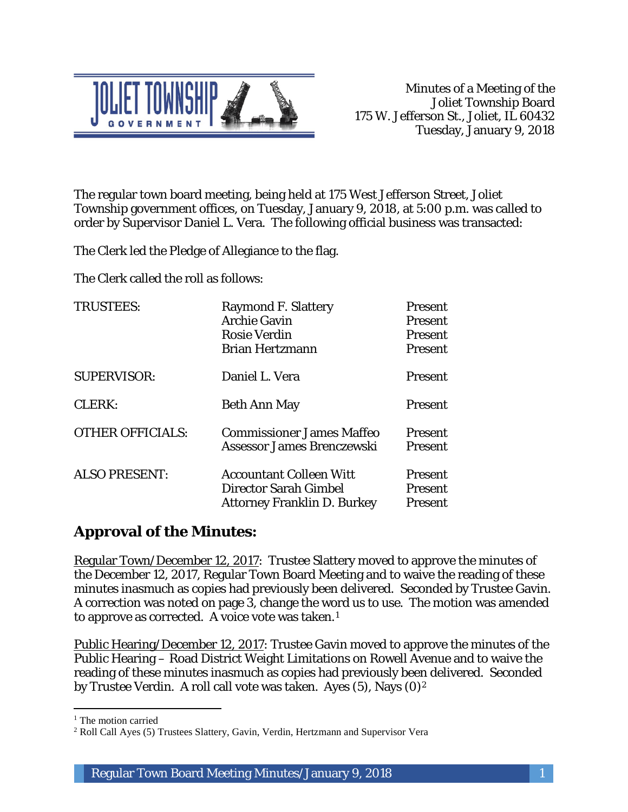

The regular town board meeting, being held at 175 West Jefferson Street, Joliet Township government offices, on Tuesday, January 9, 2018, at 5:00 p.m. was called to order by Supervisor Daniel L. Vera. The following official business was transacted:

The Clerk led the Pledge of Allegiance to the flag.

The Clerk called the roll as follows:

| <b>TRUSTEES:</b>        | <b>Raymond F. Slattery</b><br><b>Archie Gavin</b><br><b>Rosie Verdin</b><br><b>Brian Hertzmann</b> | Present<br>Present<br>Present<br>Present |
|-------------------------|----------------------------------------------------------------------------------------------------|------------------------------------------|
| <b>SUPERVISOR:</b>      | Daniel L. Vera                                                                                     | Present                                  |
| CLERK:                  | <b>Beth Ann May</b>                                                                                | Present                                  |
| <b>OTHER OFFICIALS:</b> | <b>Commissioner James Maffeo</b><br>Assessor James Brenczewski                                     | <b>Present</b><br><b>Present</b>         |
| <b>ALSO PRESENT:</b>    | <b>Accountant Colleen Witt</b><br>Director Sarah Gimbel<br><b>Attorney Franklin D. Burkey</b>      | <b>Present</b><br>Present<br>Present     |

## **Approval of the Minutes:**

Regular Town/December 12, 2017: Trustee Slattery moved to approve the minutes of the December 12, 2017, Regular Town Board Meeting and to waive the reading of these minutes inasmuch as copies had previously been delivered. Seconded by Trustee Gavin. A correction was noted on page 3, change the word us to use. The motion was amended to approve as corrected. A voice vote was taken.1

Public Hearing/December 12, 2017: Trustee Gavin moved to approve the minutes of the Public Hearing – Road District Weight Limitations on Rowell Avenue and to waive the reading of these minutes inasmuch as copies had previously been delivered. Seconded by Trustee Verdin. A roll call vote was taken. Ayes (5), Nays (0)2

I <sup>1</sup> The motion carried

<sup>2</sup> Roll Call Ayes (5) Trustees Slattery, Gavin, Verdin, Hertzmann and Supervisor Vera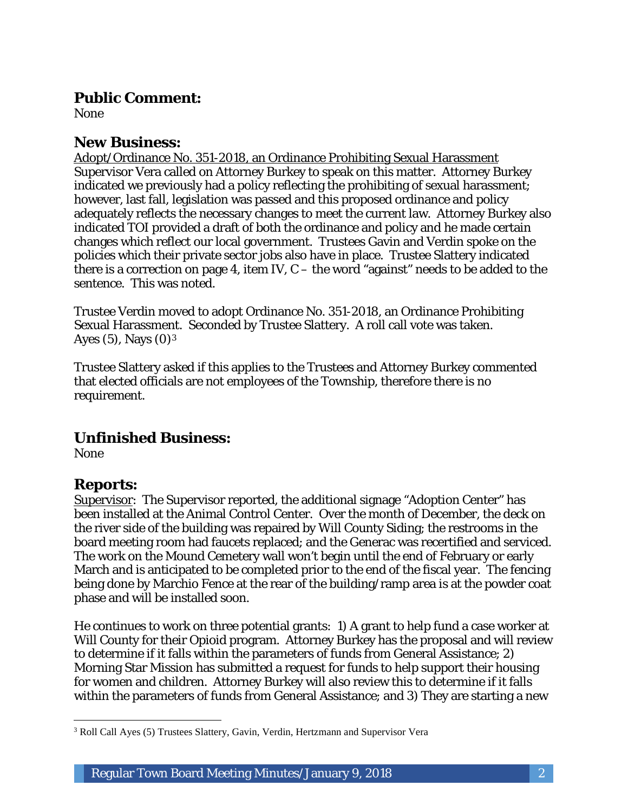#### **Public Comment:**

None

#### **New Business:**

Adopt/Ordinance No. 351-2018, an Ordinance Prohibiting Sexual Harassment Supervisor Vera called on Attorney Burkey to speak on this matter. Attorney Burkey indicated we previously had a policy reflecting the prohibiting of sexual harassment; however, last fall, legislation was passed and this proposed ordinance and policy adequately reflects the necessary changes to meet the current law. Attorney Burkey also indicated TOI provided a draft of both the ordinance and policy and he made certain changes which reflect our local government. Trustees Gavin and Verdin spoke on the policies which their private sector jobs also have in place. Trustee Slattery indicated there is a correction on page 4, item IV,  $C$  – the word "against" needs to be added to the sentence. This was noted.

Trustee Verdin moved to adopt Ordinance No. 351-2018, an Ordinance Prohibiting Sexual Harassment. Seconded by Trustee Slattery. A roll call vote was taken. Ayes  $(5)$ , Nays  $(0)<sup>3</sup>$ 

Trustee Slattery asked if this applies to the Trustees and Attorney Burkey commented that elected officials are not employees of the Township, therefore there is no requirement.

#### **Unfinished Business:**

None

#### **Reports:**

Supervisor: The Supervisor reported, the additional signage "Adoption Center" has been installed at the Animal Control Center. Over the month of December, the deck on the river side of the building was repaired by Will County Siding; the restrooms in the board meeting room had faucets replaced; and the Generac was recertified and serviced. The work on the Mound Cemetery wall won't begin until the end of February or early March and is anticipated to be completed prior to the end of the fiscal year. The fencing being done by Marchio Fence at the rear of the building/ramp area is at the powder coat phase and will be installed soon.

He continues to work on three potential grants: 1) A grant to help fund a case worker at Will County for their Opioid program. Attorney Burkey has the proposal and will review to determine if it falls within the parameters of funds from General Assistance; 2) Morning Star Mission has submitted a request for funds to help support their housing for women and children. Attorney Burkey will also review this to determine if it falls within the parameters of funds from General Assistance; and 3) They are starting a new

 $\overline{a}$ <sup>3</sup> Roll Call Ayes (5) Trustees Slattery, Gavin, Verdin, Hertzmann and Supervisor Vera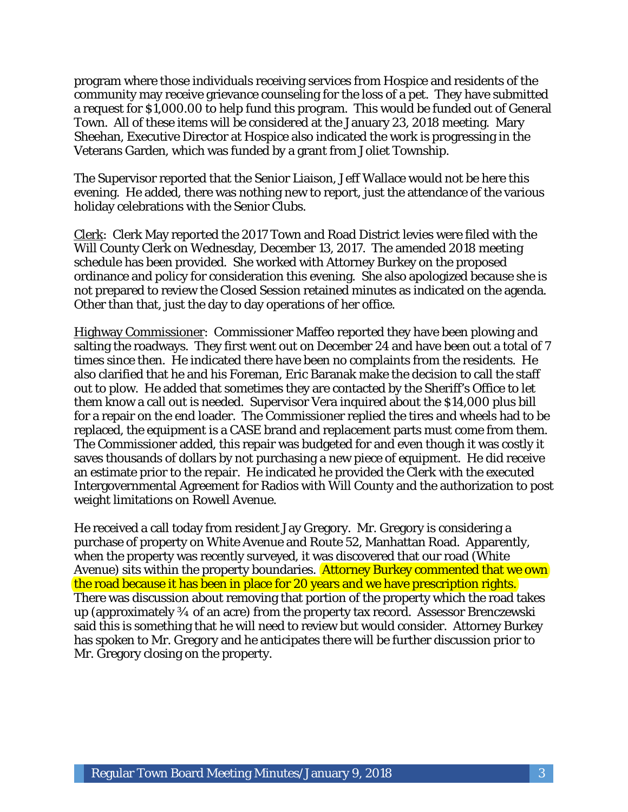program where those individuals receiving services from Hospice and residents of the community may receive grievance counseling for the loss of a pet. They have submitted a request for \$1,000.00 to help fund this program. This would be funded out of General Town. All of these items will be considered at the January 23, 2018 meeting. Mary Sheehan, Executive Director at Hospice also indicated the work is progressing in the Veterans Garden, which was funded by a grant from Joliet Township.

The Supervisor reported that the Senior Liaison, Jeff Wallace would not be here this evening. He added, there was nothing new to report, just the attendance of the various holiday celebrations with the Senior Clubs.

Clerk: Clerk May reported the 2017 Town and Road District levies were filed with the Will County Clerk on Wednesday, December 13, 2017. The amended 2018 meeting schedule has been provided. She worked with Attorney Burkey on the proposed ordinance and policy for consideration this evening. She also apologized because she is not prepared to review the Closed Session retained minutes as indicated on the agenda. Other than that, just the day to day operations of her office.

Highway Commissioner: Commissioner Maffeo reported they have been plowing and salting the roadways. They first went out on December 24 and have been out a total of 7 times since then. He indicated there have been no complaints from the residents. He also clarified that he and his Foreman, Eric Baranak make the decision to call the staff out to plow. He added that sometimes they are contacted by the Sheriff's Office to let them know a call out is needed. Supervisor Vera inquired about the \$14,000 plus bill for a repair on the end loader. The Commissioner replied the tires and wheels had to be replaced, the equipment is a CASE brand and replacement parts must come from them. The Commissioner added, this repair was budgeted for and even though it was costly it saves thousands of dollars by not purchasing a new piece of equipment. He did receive an estimate prior to the repair. He indicated he provided the Clerk with the executed Intergovernmental Agreement for Radios with Will County and the authorization to post weight limitations on Rowell Avenue.

He received a call today from resident Jay Gregory. Mr. Gregory is considering a purchase of property on White Avenue and Route 52, Manhattan Road. Apparently, when the property was recently surveyed, it was discovered that our road (White Avenue) sits within the property boundaries. Attorney Burkey commented that we own the road because it has been in place for 20 years and we have prescription rights. There was discussion about removing that portion of the property which the road takes up (approximately ¾ of an acre) from the property tax record. Assessor Brenczewski said this is something that he will need to review but would consider. Attorney Burkey has spoken to Mr. Gregory and he anticipates there will be further discussion prior to Mr. Gregory closing on the property.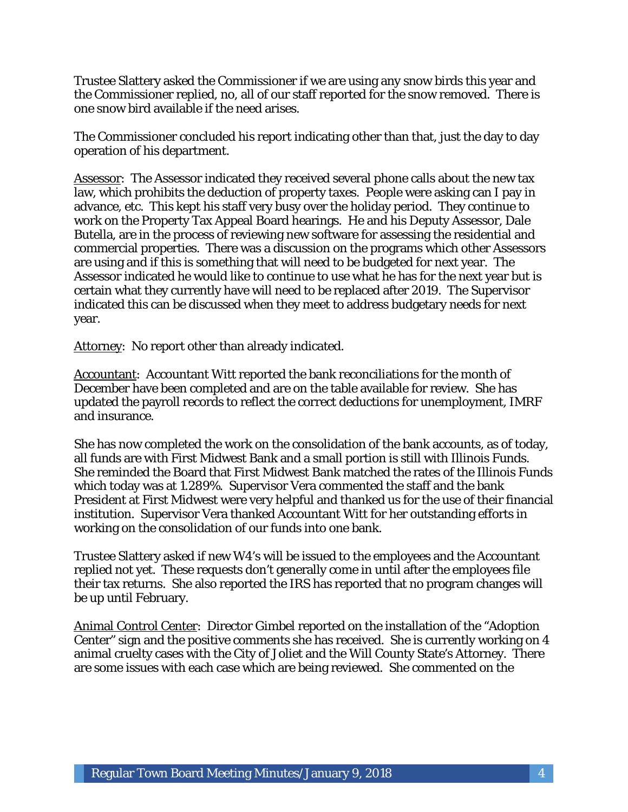Trustee Slattery asked the Commissioner if we are using any snow birds this year and the Commissioner replied, no, all of our staff reported for the snow removed. There is one snow bird available if the need arises.

The Commissioner concluded his report indicating other than that, just the day to day operation of his department.

Assessor: The Assessor indicated they received several phone calls about the new tax law, which prohibits the deduction of property taxes. People were asking can I pay in advance, etc. This kept his staff very busy over the holiday period. They continue to work on the Property Tax Appeal Board hearings. He and his Deputy Assessor, Dale Butella, are in the process of reviewing new software for assessing the residential and commercial properties. There was a discussion on the programs which other Assessors are using and if this is something that will need to be budgeted for next year. The Assessor indicated he would like to continue to use what he has for the next year but is certain what they currently have will need to be replaced after 2019. The Supervisor indicated this can be discussed when they meet to address budgetary needs for next year.

Attorney: No report other than already indicated.

Accountant: Accountant Witt reported the bank reconciliations for the month of December have been completed and are on the table available for review. She has updated the payroll records to reflect the correct deductions for unemployment, IMRF and insurance.

She has now completed the work on the consolidation of the bank accounts, as of today, all funds are with First Midwest Bank and a small portion is still with Illinois Funds. She reminded the Board that First Midwest Bank matched the rates of the Illinois Funds which today was at 1.289%. Supervisor Vera commented the staff and the bank President at First Midwest were very helpful and thanked us for the use of their financial institution. Supervisor Vera thanked Accountant Witt for her outstanding efforts in working on the consolidation of our funds into one bank.

Trustee Slattery asked if new W4's will be issued to the employees and the Accountant replied not yet. These requests don't generally come in until after the employees file their tax returns. She also reported the IRS has reported that no program changes will be up until February.

Animal Control Center: Director Gimbel reported on the installation of the "Adoption Center" sign and the positive comments she has received. She is currently working on 4 animal cruelty cases with the City of Joliet and the Will County State's Attorney. There are some issues with each case which are being reviewed. She commented on the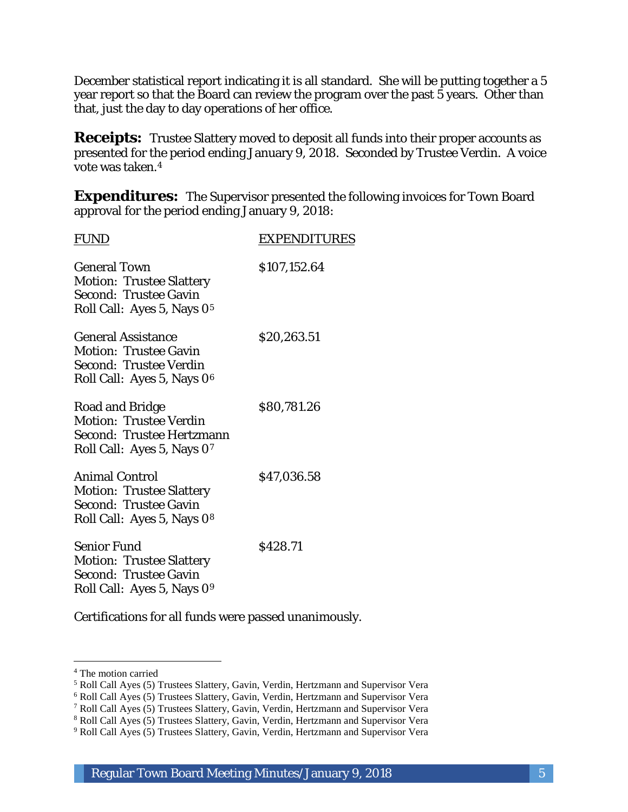December statistical report indicating it is all standard. She will be putting together a 5 year report so that the Board can review the program over the past 5 years. Other than that, just the day to day operations of her office.

**Receipts:** Trustee Slattery moved to deposit all funds into their proper accounts as presented for the period ending January 9, 2018. Seconded by Trustee Verdin. A voice vote was taken.4

**Expenditures:** The Supervisor presented the following invoices for Town Board approval for the period ending January 9, 2018:

| FUND                                                                                                                             | <b>EXPENDITURES</b> |
|----------------------------------------------------------------------------------------------------------------------------------|---------------------|
| <b>General Town</b><br><b>Motion: Trustee Slattery</b><br><b>Second: Trustee Gavin</b><br>Roll Call: Ayes 5, Nays 0 <sup>5</sup> | \$107,152.64        |
| <b>General Assistance</b><br><b>Motion: Trustee Gavin</b><br>Second: Trustee Verdin<br>Roll Call: Ayes 5, Nays 0 <sup>6</sup>    | \$20,263.51         |
| Road and Bridge<br><b>Motion: Trustee Verdin</b><br><b>Second: Trustee Hertzmann</b><br>Roll Call: Ayes 5, Nays 07               | \$80,781.26         |
| <b>Animal Control</b><br><b>Motion: Trustee Slattery</b><br><b>Second: Trustee Gavin</b><br>Roll Call: Ayes 5, Nays 08           | \$47,036.58         |
| <b>Senior Fund</b><br><b>Motion: Trustee Slattery</b><br><b>Second: Trustee Gavin</b><br>Roll Call: Ayes 5, Nays 09              | \$428.71            |

Certifications for all funds were passed unanimously.

I

<sup>4</sup> The motion carried

<sup>5</sup> Roll Call Ayes (5) Trustees Slattery, Gavin, Verdin, Hertzmann and Supervisor Vera

<sup>6</sup> Roll Call Ayes (5) Trustees Slattery, Gavin, Verdin, Hertzmann and Supervisor Vera

<sup>7</sup> Roll Call Ayes (5) Trustees Slattery, Gavin, Verdin, Hertzmann and Supervisor Vera

<sup>8</sup> Roll Call Ayes (5) Trustees Slattery, Gavin, Verdin, Hertzmann and Supervisor Vera

<sup>9</sup> Roll Call Ayes (5) Trustees Slattery, Gavin, Verdin, Hertzmann and Supervisor Vera